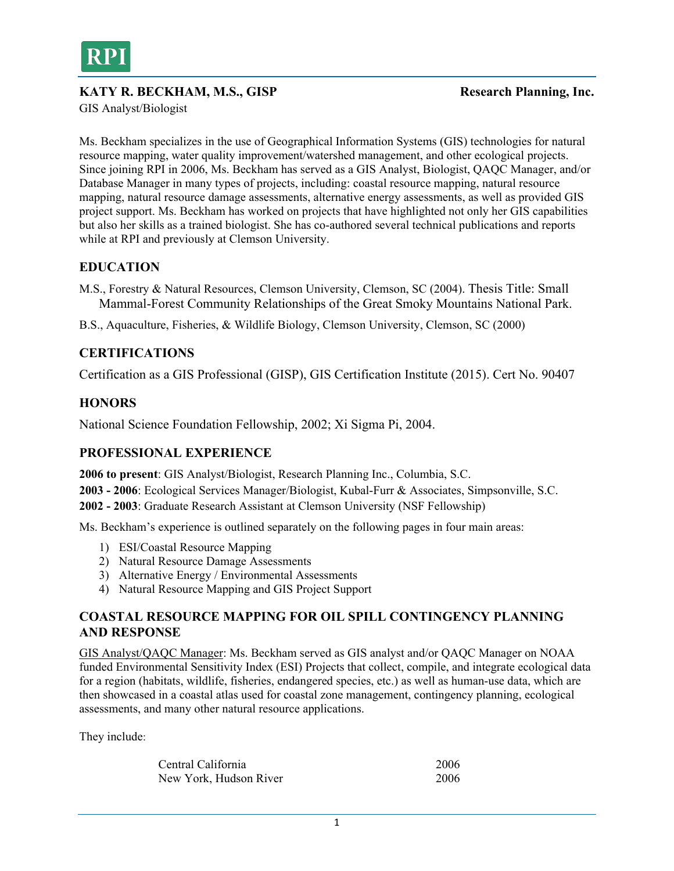

## KATY R. BECKHAM, M.S., GISP Research Planning, Inc.

GIS Analyst/Biologist

Ms. Beckham specializes in the use of Geographical Information Systems (GIS) technologies for natural resource mapping, water quality improvement/watershed management, and other ecological projects. Since joining RPI in 2006, Ms. Beckham has served as a GIS Analyst, Biologist, QAQC Manager, and/or Database Manager in many types of projects, including: coastal resource mapping, natural resource mapping, natural resource damage assessments, alternative energy assessments, as well as provided GIS project support. Ms. Beckham has worked on projects that have highlighted not only her GIS capabilities but also her skills as a trained biologist. She has co-authored several technical publications and reports while at RPI and previously at Clemson University.

# **EDUCATION**

M.S., Forestry & Natural Resources, Clemson University, Clemson, SC (2004). Thesis Title: Small Mammal-Forest Community Relationships of the Great Smoky Mountains National Park.

B.S., Aquaculture, Fisheries, & Wildlife Biology, Clemson University, Clemson, SC (2000)

## **CERTIFICATIONS**

Certification as a GIS Professional (GISP), GIS Certification Institute (2015). Cert No. 90407

### **HONORS**

National Science Foundation Fellowship, 2002; Xi Sigma Pi, 2004.

### **PROFESSIONAL EXPERIENCE**

**2006 to present**: GIS Analyst/Biologist, Research Planning Inc., Columbia, S.C. **2003 - 2006**: Ecological Services Manager/Biologist, Kubal-Furr & Associates, Simpsonville, S.C. **2002 - 2003**: Graduate Research Assistant at Clemson University (NSF Fellowship)

Ms. Beckham's experience is outlined separately on the following pages in four main areas:

- 1) ESI/Coastal Resource Mapping
- 2) Natural Resource Damage Assessments
- 3) Alternative Energy / Environmental Assessments
- 4) Natural Resource Mapping and GIS Project Support

## **COASTAL RESOURCE MAPPING FOR OIL SPILL CONTINGENCY PLANNING AND RESPONSE**

GIS Analyst/QAQC Manager: Ms. Beckham served as GIS analyst and/or QAQC Manager on NOAA funded Environmental Sensitivity Index (ESI) Projects that collect, compile, and integrate ecological data for a region (habitats, wildlife, fisheries, endangered species, etc.) as well as human-use data, which are then showcased in a coastal atlas used for coastal zone management, contingency planning, ecological assessments, and many other natural resource applications.

They include:

| Central California     | 2006 |
|------------------------|------|
| New York, Hudson River | 2006 |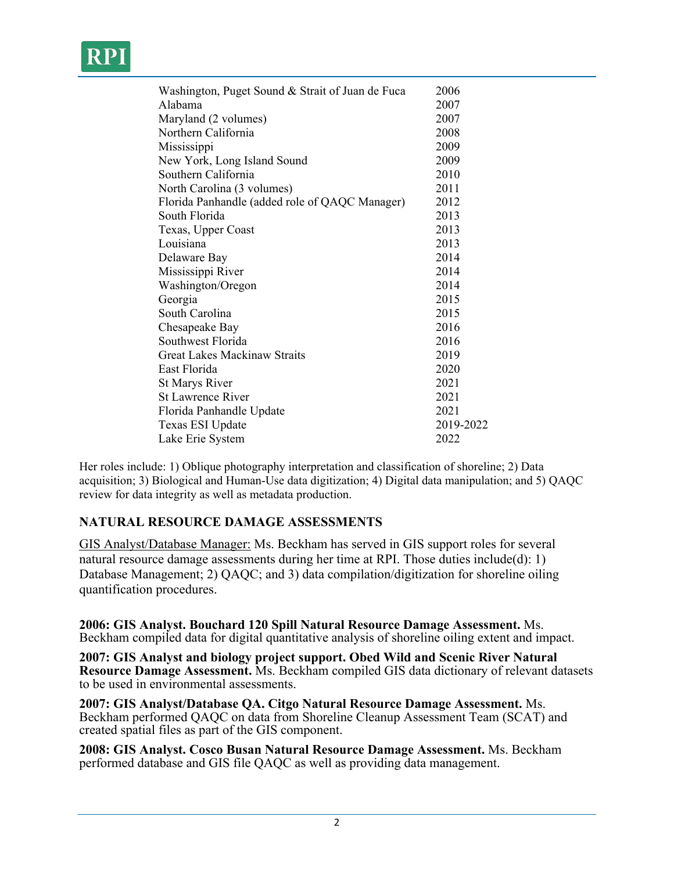| Washington, Puget Sound & Strait of Juan de Fuca | 2006      |
|--------------------------------------------------|-----------|
| Alabama                                          | 2007      |
| Maryland (2 volumes)                             | 2007      |
| Northern California                              | 2008      |
| Mississippi                                      | 2009      |
| New York, Long Island Sound                      | 2009      |
| Southern California                              | 2010      |
| North Carolina (3 volumes)                       | 2011      |
| Florida Panhandle (added role of QAQC Manager)   | 2012      |
| South Florida                                    | 2013      |
| Texas, Upper Coast                               | 2013      |
| Louisiana                                        | 2013      |
| Delaware Bay                                     | 2014      |
| Mississippi River                                | 2014      |
| Washington/Oregon                                | 2014      |
| Georgia                                          | 2015      |
| South Carolina                                   | 2015      |
| Chesapeake Bay                                   | 2016      |
| Southwest Florida                                | 2016      |
| Great Lakes Mackinaw Straits                     | 2019      |
| East Florida                                     | 2020      |
| St Marys River                                   | 2021      |
| <b>St Lawrence River</b>                         | 2021      |
| Florida Panhandle Update                         | 2021      |
| Texas ESI Update                                 | 2019-2022 |
| Lake Erie System                                 | 2022      |
|                                                  |           |

Her roles include: 1) Oblique photography interpretation and classification of shoreline; 2) Data acquisition; 3) Biological and Human-Use data digitization; 4) Digital data manipulation; and 5) QAQC review for data integrity as well as metadata production.

# **NATURAL RESOURCE DAMAGE ASSESSMENTS**

GIS Analyst/Database Manager: Ms. Beckham has served in GIS support roles for several natural resource damage assessments during her time at RPI. Those duties include(d): 1) Database Management; 2) QAQC; and 3) data compilation/digitization for shoreline oiling quantification procedures.

**2006: GIS Analyst. Bouchard 120 Spill Natural Resource Damage Assessment.** Ms. Beckham compiled data for digital quantitative analysis of shoreline oiling extent and impact.

**2007: GIS Analyst and biology project support. Obed Wild and Scenic River Natural Resource Damage Assessment.** Ms. Beckham compiled GIS data dictionary of relevant datasets to be used in environmental assessments.

**2007: GIS Analyst/Database QA. Citgo Natural Resource Damage Assessment.** Ms. Beckham performed QAQC on data from Shoreline Cleanup Assessment Team (SCAT) and created spatial files as part of the GIS component.

**2008: GIS Analyst. Cosco Busan Natural Resource Damage Assessment.** Ms. Beckham performed database and GIS file QAQC as well as providing data management.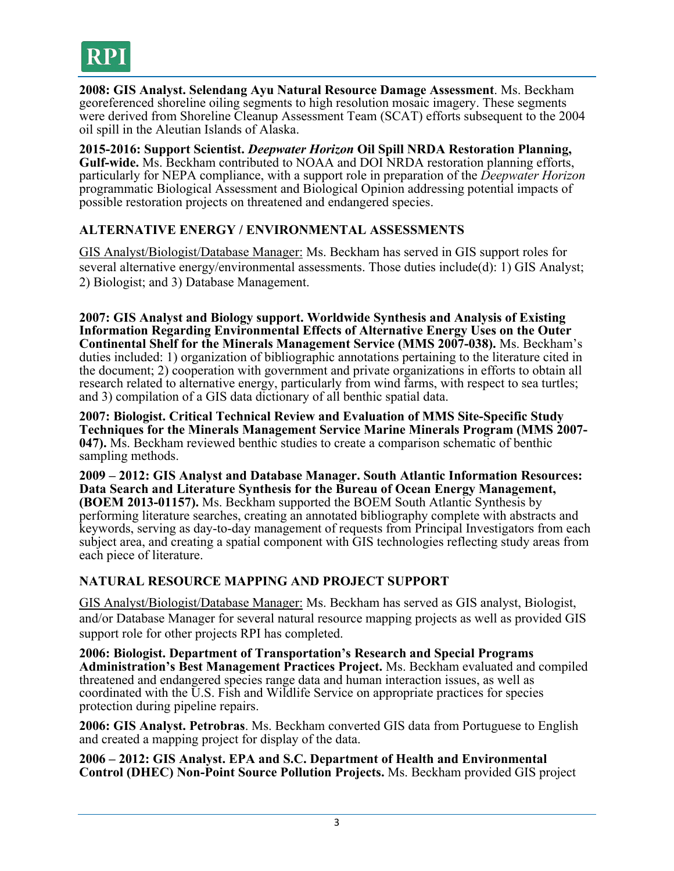

**2008: GIS Analyst. Selendang Ayu Natural Resource Damage Assessment**. Ms. Beckham georeferenced shoreline oiling segments to high resolution mosaic imagery. These segments were derived from Shoreline Cleanup Assessment Team (SCAT) efforts subsequent to the 2004 oil spill in the Aleutian Islands of Alaska.

**2015-2016: Support Scientist.** *Deepwater Horizon* **Oil Spill NRDA Restoration Planning, Gulf-wide.** Ms. Beckham contributed to NOAA and DOI NRDA restoration planning efforts, particularly for NEPA compliance, with a support role in preparation of the *Deepwater Horizon* programmatic Biological Assessment and Biological Opinion addressing potential impacts of possible restoration projects on threatened and endangered species.

## **ALTERNATIVE ENERGY / ENVIRONMENTAL ASSESSMENTS**

GIS Analyst/Biologist/Database Manager: Ms. Beckham has served in GIS support roles for several alternative energy/environmental assessments. Those duties include(d): 1) GIS Analyst; 2) Biologist; and 3) Database Management.

**2007: GIS Analyst and Biology support. Worldwide Synthesis and Analysis of Existing Information Regarding Environmental Effects of Alternative Energy Uses on the Outer Continental Shelf for the Minerals Management Service (MMS 2007-038).** Ms. Beckham's duties included: 1) organization of bibliographic annotations pertaining to the literature cited in the document; 2) cooperation with government and private organizations in efforts to obtain all research related to alternative energy, particularly from wind farms, with respect to sea turtles; and 3) compilation of a GIS data dictionary of all benthic spatial data.

**2007: Biologist. Critical Technical Review and Evaluation of MMS Site-Specific Study Techniques for the Minerals Management Service Marine Minerals Program (MMS 2007- 047).** Ms. Beckham reviewed benthic studies to create a comparison schematic of benthic sampling methods.

**2009 – 2012: GIS Analyst and Database Manager. South Atlantic Information Resources: Data Search and Literature Synthesis for the Bureau of Ocean Energy Management, (BOEM 2013-01157).** Ms. Beckham supported the BOEM South Atlantic Synthesis by performing literature searches, creating an annotated bibliography complete with abstracts and keywords, serving as day-to-day management of requests from Principal Investigators from each subject area, and creating a spatial component with GIS technologies reflecting study areas from each piece of literature.

### **NATURAL RESOURCE MAPPING AND PROJECT SUPPORT**

GIS Analyst/Biologist/Database Manager: Ms. Beckham has served as GIS analyst, Biologist, and/or Database Manager for several natural resource mapping projects as well as provided GIS support role for other projects RPI has completed.

**2006: Biologist. Department of Transportation's Research and Special Programs Administration's Best Management Practices Project.** Ms. Beckham evaluated and compiled threatened and endangered species range data and human interaction issues, as well as coordinated with the U.S. Fish and Wildlife Service on appropriate practices for species protection during pipeline repairs.

**2006: GIS Analyst. Petrobras**. Ms. Beckham converted GIS data from Portuguese to English and created a mapping project for display of the data.

**2006 – 2012: GIS Analyst. EPA and S.C. Department of Health and Environmental Control (DHEC) Non-Point Source Pollution Projects.** Ms. Beckham provided GIS project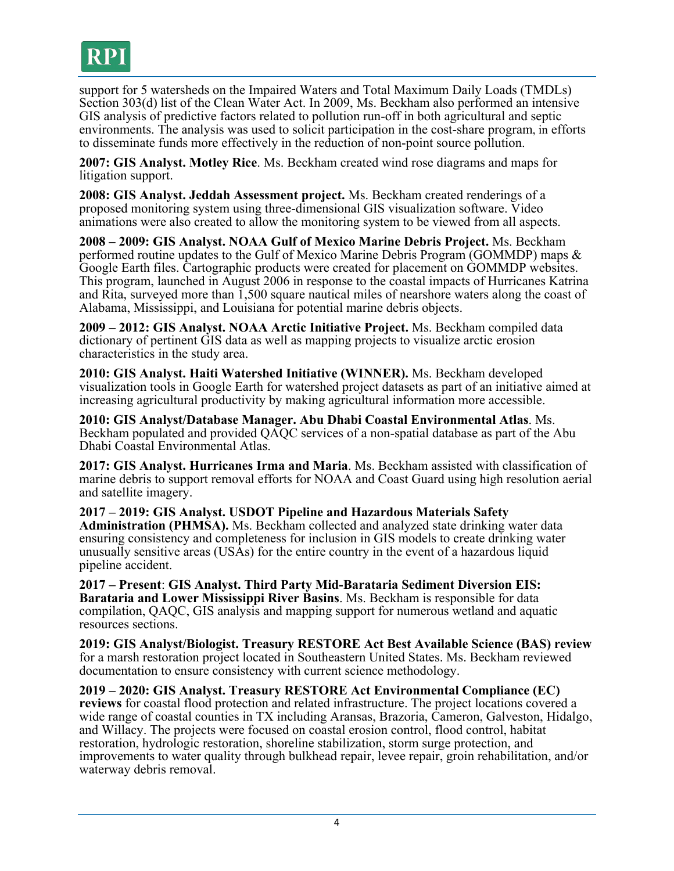

support for 5 watersheds on the Impaired Waters and Total Maximum Daily Loads (TMDLs) Section 303(d) list of the Clean Water Act. In 2009, Ms. Beckham also performed an intensive GIS analysis of predictive factors related to pollution run-off in both agricultural and septic environments. The analysis was used to solicit participation in the cost-share program, in efforts to disseminate funds more effectively in the reduction of non-point source pollution.

**2007: GIS Analyst. Motley Rice**. Ms. Beckham created wind rose diagrams and maps for litigation support.

**2008: GIS Analyst. Jeddah Assessment project.** Ms. Beckham created renderings of a proposed monitoring system using three-dimensional GIS visualization software. Video animations were also created to allow the monitoring system to be viewed from all aspects.

**2008 – 2009: GIS Analyst. NOAA Gulf of Mexico Marine Debris Project.** Ms. Beckham performed routine updates to the Gulf of Mexico Marine Debris Program (GOMMDP) maps & Google Earth files. Cartographic products were created for placement on GOMMDP websites. This program, launched in August 2006 in response to the coastal impacts of Hurricanes Katrina and Rita, surveyed more than 1,500 square nautical miles of nearshore waters along the coast of Alabama, Mississippi, and Louisiana for potential marine debris objects.

**2009 – 2012: GIS Analyst. NOAA Arctic Initiative Project.** Ms. Beckham compiled data dictionary of pertinent GIS data as well as mapping projects to visualize arctic erosion characteristics in the study area.

**2010: GIS Analyst. Haiti Watershed Initiative (WINNER).** Ms. Beckham developed visualization tools in Google Earth for watershed project datasets as part of an initiative aimed at increasing agricultural productivity by making agricultural information more accessible.

**2010: GIS Analyst/Database Manager. Abu Dhabi Coastal Environmental Atlas**. Ms. Beckham populated and provided QAQC services of a non-spatial database as part of the Abu Dhabi Coastal Environmental Atlas.

**2017: GIS Analyst. Hurricanes Irma and Maria**. Ms. Beckham assisted with classification of marine debris to support removal efforts for NOAA and Coast Guard using high resolution aerial and satellite imagery.

**2017 – 2019: GIS Analyst. USDOT Pipeline and Hazardous Materials Safety Administration (PHMSA).** Ms. Beckham collected and analyzed state drinking water data ensuring consistency and completeness for inclusion in GIS models to create drinking water unusually sensitive areas (USAs) for the entire country in the event of a hazardous liquid pipeline accident.

**2017 – Present**: **GIS Analyst. Third Party Mid-Barataria Sediment Diversion EIS: Barataria and Lower Mississippi River Basins**. Ms. Beckham is responsible for data compilation, QAQC, GIS analysis and mapping support for numerous wetland and aquatic resources sections.

**2019: GIS Analyst/Biologist. Treasury RESTORE Act Best Available Science (BAS) review** for a marsh restoration project located in Southeastern United States. Ms. Beckham reviewed documentation to ensure consistency with current science methodology.

**2019 – 2020: GIS Analyst. Treasury RESTORE Act Environmental Compliance (EC) reviews** for coastal flood protection and related infrastructure. The project locations covered a wide range of coastal counties in TX including Aransas, Brazoria, Cameron, Galveston, Hidalgo, and Willacy. The projects were focused on coastal erosion control, flood control, habitat restoration, hydrologic restoration, shoreline stabilization, storm surge protection, and improvements to water quality through bulkhead repair, levee repair, groin rehabilitation, and/or waterway debris removal.